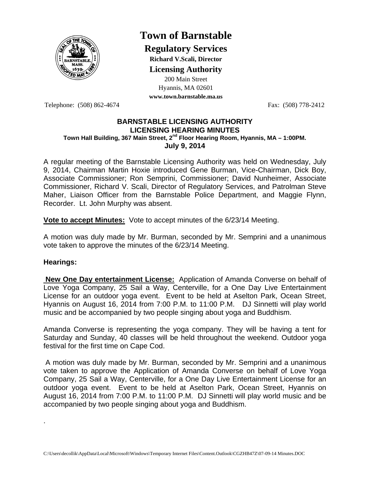

## **Town of Barnstable**

**Regulatory Services**

**Richard V.Scali, Director** 

**Licensing Authority**

200 Main Street Hyannis, MA 02601 **www.town.barnstable.ma.us**

Telephone: (508) 862-4674 Fax: (508) 778-2412

## **BARNSTABLE LICENSING AUTHORITY LICENSING HEARING MINUTES Town Hall Building, 367 Main Street, 2nd Floor Hearing Room, Hyannis, MA – 1:00PM. July 9, 2014**

A regular meeting of the Barnstable Licensing Authority was held on Wednesday, July 9, 2014, Chairman Martin Hoxie introduced Gene Burman, Vice-Chairman, Dick Boy, Associate Commissioner; Ron Semprini, Commissioner; David Nunheimer, Associate Commissioner, Richard V. Scali, Director of Regulatory Services, and Patrolman Steve Maher, Liaison Officer from the Barnstable Police Department, and Maggie Flynn, Recorder. Lt. John Murphy was absent.

**Vote to accept Minutes:** Vote to accept minutes of the 6/23/14 Meeting.

A motion was duly made by Mr. Burman, seconded by Mr. Semprini and a unanimous vote taken to approve the minutes of the 6/23/14 Meeting.

## **Hearings:**

.

 **New One Day entertainment License:** Application of Amanda Converse on behalf of Love Yoga Company, 25 Sail a Way, Centerville, for a One Day Live Entertainment License for an outdoor yoga event. Event to be held at Aselton Park, Ocean Street, Hyannis on August 16, 2014 from 7:00 P.M. to 11:00 P.M. DJ Sinnetti will play world music and be accompanied by two people singing about yoga and Buddhism.

Amanda Converse is representing the yoga company. They will be having a tent for Saturday and Sunday, 40 classes will be held throughout the weekend. Outdoor yoga festival for the first time on Cape Cod.

 A motion was duly made by Mr. Burman, seconded by Mr. Semprini and a unanimous vote taken to approve the Application of Amanda Converse on behalf of Love Yoga Company, 25 Sail a Way, Centerville, for a One Day Live Entertainment License for an outdoor yoga event. Event to be held at Aselton Park, Ocean Street, Hyannis on August 16, 2014 from 7:00 P.M. to 11:00 P.M. DJ Sinnetti will play world music and be accompanied by two people singing about yoga and Buddhism.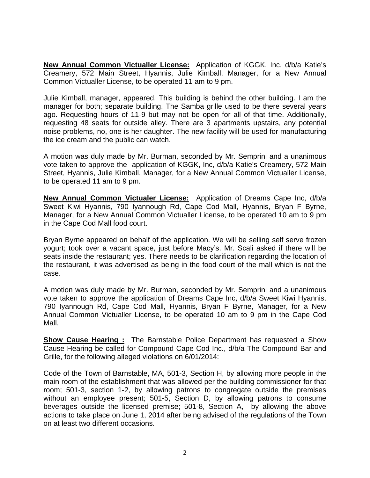**New Annual Common Victualler License:** Application of KGGK, Inc, d/b/a Katie's Creamery, 572 Main Street, Hyannis, Julie Kimball, Manager, for a New Annual Common Victualler License, to be operated 11 am to 9 pm.

Julie Kimball, manager, appeared. This building is behind the other building. I am the manager for both; separate building. The Samba grille used to be there several years ago. Requesting hours of 11-9 but may not be open for all of that time. Additionally, requesting 48 seats for outside alley. There are 3 apartments upstairs, any potential noise problems, no, one is her daughter. The new facility will be used for manufacturing the ice cream and the public can watch.

A motion was duly made by Mr. Burman, seconded by Mr. Semprini and a unanimous vote taken to approve the application of KGGK, Inc, d/b/a Katie's Creamery, 572 Main Street, Hyannis, Julie Kimball, Manager, for a New Annual Common Victualler License, to be operated 11 am to 9 pm.

**New Annual Common Victualer License:** Application of Dreams Cape Inc, d/b/a Sweet Kiwi Hyannis, 790 Iyannough Rd, Cape Cod Mall, Hyannis, Bryan F Byrne, Manager, for a New Annual Common Victualler License, to be operated 10 am to 9 pm in the Cape Cod Mall food court.

Bryan Byrne appeared on behalf of the application. We will be selling self serve frozen yogurt; took over a vacant space, just before Macy's. Mr. Scali asked if there will be seats inside the restaurant; yes. There needs to be clarification regarding the location of the restaurant, it was advertised as being in the food court of the mall which is not the case.

A motion was duly made by Mr. Burman, seconded by Mr. Semprini and a unanimous vote taken to approve the application of Dreams Cape Inc, d/b/a Sweet Kiwi Hyannis, 790 Iyannough Rd, Cape Cod Mall, Hyannis, Bryan F Byrne, Manager, for a New Annual Common Victualler License, to be operated 10 am to 9 pm in the Cape Cod Mall.

**Show Cause Hearing :** The Barnstable Police Department has requested a Show Cause Hearing be called for Compound Cape Cod Inc., d/b/a The Compound Bar and Grille, for the following alleged violations on 6/01/2014:

Code of the Town of Barnstable, MA, 501-3, Section H, by allowing more people in the main room of the establishment that was allowed per the building commissioner for that room; 501-3, section 1-2, by allowing patrons to congregate outside the premises without an employee present; 501-5, Section D, by allowing patrons to consume beverages outside the licensed premise; 501-8, Section A, by allowing the above actions to take place on June 1, 2014 after being advised of the regulations of the Town on at least two different occasions.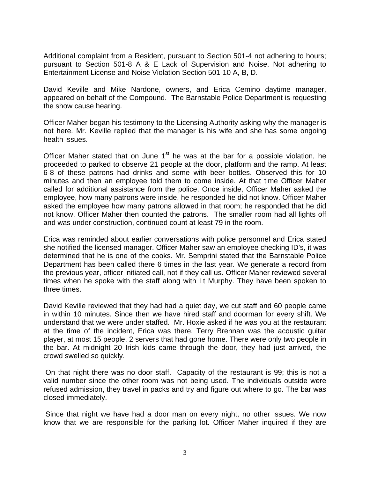Additional complaint from a Resident, pursuant to Section 501-4 not adhering to hours; pursuant to Section 501-8 A & E Lack of Supervision and Noise. Not adhering to Entertainment License and Noise Violation Section 501-10 A, B, D.

David Keville and Mike Nardone, owners, and Erica Cemino daytime manager, appeared on behalf of the Compound. The Barnstable Police Department is requesting the show cause hearing.

Officer Maher began his testimony to the Licensing Authority asking why the manager is not here. Mr. Keville replied that the manager is his wife and she has some ongoing health issues.

Officer Maher stated that on June  $1<sup>st</sup>$  he was at the bar for a possible violation, he proceeded to parked to observe 21 people at the door, platform and the ramp. At least 6-8 of these patrons had drinks and some with beer bottles. Observed this for 10 minutes and then an employee told them to come inside. At that time Officer Maher called for additional assistance from the police. Once inside, Officer Maher asked the employee, how many patrons were inside, he responded he did not know. Officer Maher asked the employee how many patrons allowed in that room; he responded that he did not know. Officer Maher then counted the patrons. The smaller room had all lights off and was under construction, continued count at least 79 in the room.

Erica was reminded about earlier conversations with police personnel and Erica stated she notified the licensed manager. Officer Maher saw an employee checking ID's, it was determined that he is one of the cooks. Mr. Semprini stated that the Barnstable Police Department has been called there 6 times in the last year. We generate a record from the previous year, officer initiated call, not if they call us. Officer Maher reviewed several times when he spoke with the staff along with Lt Murphy. They have been spoken to three times.

David Keville reviewed that they had had a quiet day, we cut staff and 60 people came in within 10 minutes. Since then we have hired staff and doorman for every shift. We understand that we were under staffed. Mr. Hoxie asked if he was you at the restaurant at the time of the incident, Erica was there. Terry Brennan was the acoustic guitar player, at most 15 people, 2 servers that had gone home. There were only two people in the bar. At midnight 20 Irish kids came through the door, they had just arrived, the crowd swelled so quickly.

 On that night there was no door staff. Capacity of the restaurant is 99; this is not a valid number since the other room was not being used. The individuals outside were refused admission, they travel in packs and try and figure out where to go. The bar was closed immediately.

 Since that night we have had a door man on every night, no other issues. We now know that we are responsible for the parking lot. Officer Maher inquired if they are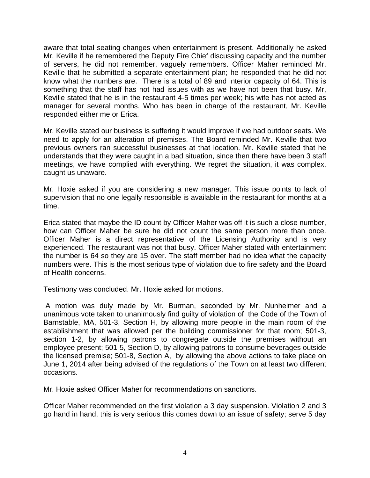aware that total seating changes when entertainment is present. Additionally he asked Mr. Keville if he remembered the Deputy Fire Chief discussing capacity and the number of servers, he did not remember, vaguely remembers. Officer Maher reminded Mr. Keville that he submitted a separate entertainment plan; he responded that he did not know what the numbers are. There is a total of 89 and interior capacity of 64. This is something that the staff has not had issues with as we have not been that busy. Mr, Keville stated that he is in the restaurant 4-5 times per week; his wife has not acted as manager for several months. Who has been in charge of the restaurant, Mr. Keville responded either me or Erica.

Mr. Keville stated our business is suffering it would improve if we had outdoor seats. We need to apply for an alteration of premises. The Board reminded Mr. Keville that two previous owners ran successful businesses at that location. Mr. Keville stated that he understands that they were caught in a bad situation, since then there have been 3 staff meetings, we have complied with everything. We regret the situation, it was complex, caught us unaware.

Mr. Hoxie asked if you are considering a new manager. This issue points to lack of supervision that no one legally responsible is available in the restaurant for months at a time.

Erica stated that maybe the ID count by Officer Maher was off it is such a close number, how can Officer Maher be sure he did not count the same person more than once. Officer Maher is a direct representative of the Licensing Authority and is very experienced. The restaurant was not that busy. Officer Maher stated with entertainment the number is 64 so they are 15 over. The staff member had no idea what the capacity numbers were. This is the most serious type of violation due to fire safety and the Board of Health concerns.

Testimony was concluded. Mr. Hoxie asked for motions.

 A motion was duly made by Mr. Burman, seconded by Mr. Nunheimer and a unanimous vote taken to unanimously find guilty of violation of the Code of the Town of Barnstable, MA, 501-3, Section H, by allowing more people in the main room of the establishment that was allowed per the building commissioner for that room; 501-3, section 1-2, by allowing patrons to congregate outside the premises without an employee present; 501-5, Section D, by allowing patrons to consume beverages outside the licensed premise; 501-8, Section A, by allowing the above actions to take place on June 1, 2014 after being advised of the regulations of the Town on at least two different occasions.

Mr. Hoxie asked Officer Maher for recommendations on sanctions.

Officer Maher recommended on the first violation a 3 day suspension. Violation 2 and 3 go hand in hand, this is very serious this comes down to an issue of safety; serve 5 day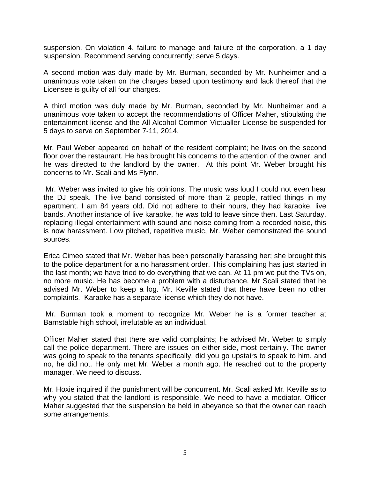suspension. On violation 4, failure to manage and failure of the corporation, a 1 day suspension. Recommend serving concurrently; serve 5 days.

A second motion was duly made by Mr. Burman, seconded by Mr. Nunheimer and a unanimous vote taken on the charges based upon testimony and lack thereof that the Licensee is guilty of all four charges.

A third motion was duly made by Mr. Burman, seconded by Mr. Nunheimer and a unanimous vote taken to accept the recommendations of Officer Maher, stipulating the entertainment license and the All Alcohol Common Victualler License be suspended for 5 days to serve on September 7-11, 2014.

Mr. Paul Weber appeared on behalf of the resident complaint; he lives on the second floor over the restaurant. He has brought his concerns to the attention of the owner, and he was directed to the landlord by the owner. At this point Mr. Weber brought his concerns to Mr. Scali and Ms Flynn.

 Mr. Weber was invited to give his opinions. The music was loud I could not even hear the DJ speak. The live band consisted of more than 2 people, rattled things in my apartment. I am 84 years old. Did not adhere to their hours, they had karaoke, live bands. Another instance of live karaoke, he was told to leave since then. Last Saturday, replacing illegal entertainment with sound and noise coming from a recorded noise, this is now harassment. Low pitched, repetitive music, Mr. Weber demonstrated the sound sources.

Erica Cimeo stated that Mr. Weber has been personally harassing her; she brought this to the police department for a no harassment order. This complaining has just started in the last month; we have tried to do everything that we can. At 11 pm we put the TVs on, no more music. He has become a problem with a disturbance. Mr Scali stated that he advised Mr. Weber to keep a log. Mr. Keville stated that there have been no other complaints. Karaoke has a separate license which they do not have.

 Mr. Burman took a moment to recognize Mr. Weber he is a former teacher at Barnstable high school, irrefutable as an individual.

Officer Maher stated that there are valid complaints; he advised Mr. Weber to simply call the police department. There are issues on either side, most certainly. The owner was going to speak to the tenants specifically, did you go upstairs to speak to him, and no, he did not. He only met Mr. Weber a month ago. He reached out to the property manager. We need to discuss.

Mr. Hoxie inquired if the punishment will be concurrent. Mr. Scali asked Mr. Keville as to why you stated that the landlord is responsible. We need to have a mediator. Officer Maher suggested that the suspension be held in abeyance so that the owner can reach some arrangements.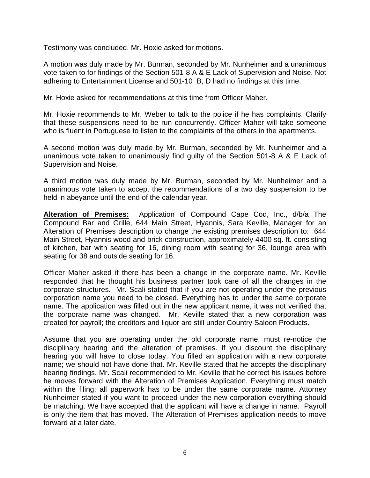Testimony was concluded. Mr. Hoxie asked for motions.

A motion was duly made by Mr. Burman, seconded by Mr. Nunheimer and a unanimous vote taken to for findings of the Section 501-8 A & E Lack of Supervision and Noise. Not adhering to Entertainment License and 501-10 B, D had no findings at this time.

Mr. Hoxie asked for recommendations at this time from Officer Maher.

Mr. Hoxie recommends to Mr. Weber to talk to the police if he has complaints. Clarify that these suspensions need to be run concurrently. Officer Maher will take someone who is fluent in Portuguese to listen to the complaints of the others in the apartments.

A second motion was duly made by Mr. Burman, seconded by Mr. Nunheimer and a unanimous vote taken to unanimously find guilty of the Section 501-8 A & E Lack of Supervision and Noise.

A third motion was duly made by Mr. Burman, seconded by Mr. Nunheimer and a unanimous vote taken to accept the recommendations of a two day suspension to be held in abeyance until the end of the calendar year.

**Alteration of Premises:** Application of Compound Cape Cod, Inc., d/b/a The Compound Bar and Grille, 644 Main Street, Hyannis, Sara Keville, Manager for an Alteration of Premises description to change the existing premises description to: 644 Main Street, Hyannis wood and brick construction, approximately 4400 sq. ft. consisting of kitchen, bar with seating for 16, dining room with seating for 36, lounge area with seating for 38 and outside seating for 16.

Officer Maher asked if there has been a change in the corporate name. Mr. Keville responded that he thought his business partner took care of all the changes in the corporate structures. Mr. Scali stated that if you are not operating under the previous corporation name you need to be closed. Everything has to under the same corporate name. The application was filled out in the new applicant name, it was not verified that the corporate name was changed. Mr. Keville stated that a new corporation was created for payroll; the creditors and liquor are still under Country Saloon Products.

Assume that you are operating under the old corporate name, must re-notice the disciplinary hearing and the alteration of premises. If you discount the disciplinary hearing you will have to close today. You filled an application with a new corporate name; we should not have done that. Mr. Keville stated that he accepts the disciplinary hearing findings. Mr. Scali recommended to Mr. Keville that he correct his issues before he moves forward with the Alteration of Premises Application. Everything must match within the filing; all paperwork has to be under the same corporate name. Attorney Nunheimer stated if you want to proceed under the new corporation everything should be matching. We have accepted that the applicant will have a change in name. Payroll is only the item that has moved. The Alteration of Premises application needs to move forward at a later date.